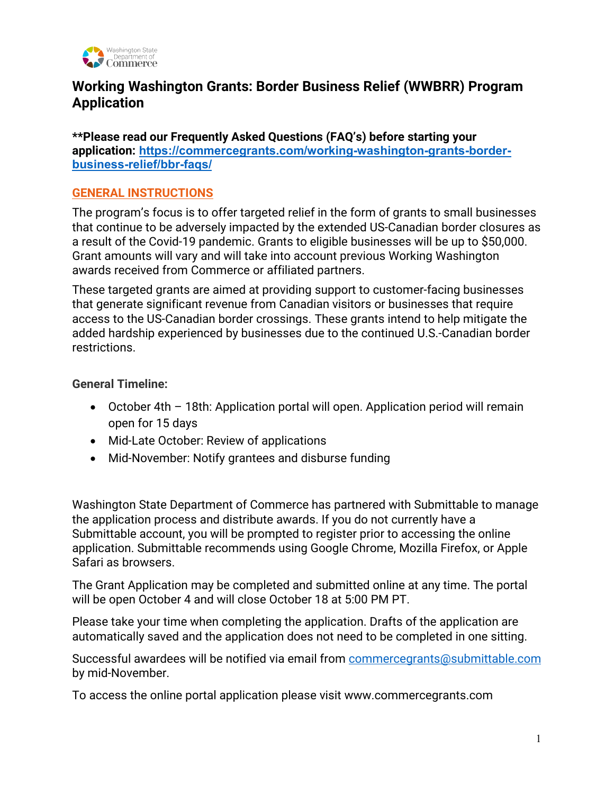

# **Working Washington Grants: Border Business Relief (WWBRR) Program Application**

**\*\*Please read our Frequently Asked Questions (FAQ's) before starting your application: [https://commercegrants.com/working-washington-grants-border](https://commercegrants.com/working-washington-grants-border-business-relief/bbr-faqs/)[business-relief/bbr-faqs/](https://commercegrants.com/working-washington-grants-border-business-relief/bbr-faqs/)**

## **GENERAL INSTRUCTIONS**

The program's focus is to offer targeted relief in the form of grants to small businesses that continue to be adversely impacted by the extended US-Canadian border closures as a result of the Covid-19 pandemic. Grants to eligible businesses will be up to \$50,000. Grant amounts will vary and will take into account previous Working Washington awards received from Commerce or affiliated partners.

These targeted grants are aimed at providing support to customer-facing businesses that generate significant revenue from Canadian visitors or businesses that require access to the US-Canadian border crossings. These grants intend to help mitigate the added hardship experienced by businesses due to the continued U.S.-Canadian border restrictions.

**General Timeline:**

- October 4th 18th: Application portal will open. Application period will remain open for 15 days
- Mid-Late October: Review of applications
- Mid-November: Notify grantees and disburse funding

Washington State Department of Commerce has partnered with Submittable to manage the application process and distribute awards. If you do not currently have a Submittable account, you will be prompted to register prior to accessing the online application. Submittable recommends using Google Chrome, Mozilla Firefox, or Apple Safari as browsers.

The Grant Application may be completed and submitted online at any time. The portal will be open October 4 and will close October 18 at 5:00 PM PT.

Please take your time when completing the application. Drafts of the application are automatically saved and the application does not need to be completed in one sitting.

Successful awardees will be notified via email from [commercegrants@submittable.com](mailto:commercegrants@submittable.com) by mid-November.

To access the online portal application please visit www.commercegrants.com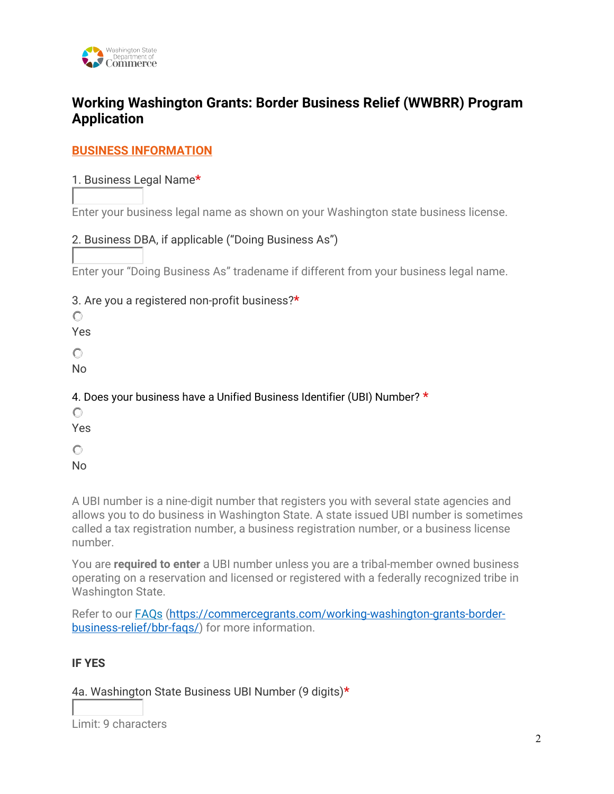

# **Working Washington Grants: Border Business Relief (WWBRR) Program Application**

## **BUSINESS INFORMATION**

## 1. Business Legal Name**\***

Enter your business legal name as shown on your Washington state business license.

## 2. Business DBA, if applicable ("Doing Business As")

Enter your "Doing Business As" tradename if different from your business legal name.

#### 3. Are you a registered non-profit business?**\***

 $\circ$ 

Yes

 $\bigcirc$ 

No

# 4. Does your business have a Unified Business Identifier (UBI) Number? **\***

 $\circ$ 

Yes

 $\circ$ No

A UBI number is a nine-digit number that registers you with several state agencies and allows you to do business in Washington State. A state issued UBI number is sometimes called a tax registration number, a business registration number, or a business license number.

You are **required to enter** a UBI number unless you are a tribal-member owned business operating on a reservation and licensed or registered with a federally recognized tribe in Washington State.

Refer to our [FAQs \(https://commercegrants.com/working-washington-grants-border](https://commercegrants.com/working-washington-grants-border-business-relief/bbr-faqs/)[business-relief/bbr-faqs/\)](https://commercegrants.com/working-washington-grants-border-business-relief/bbr-faqs/) for more information.

#### **IF YES**

4a. Washington State Business UBI Number (9 digits)**\***

Limit: 9 characters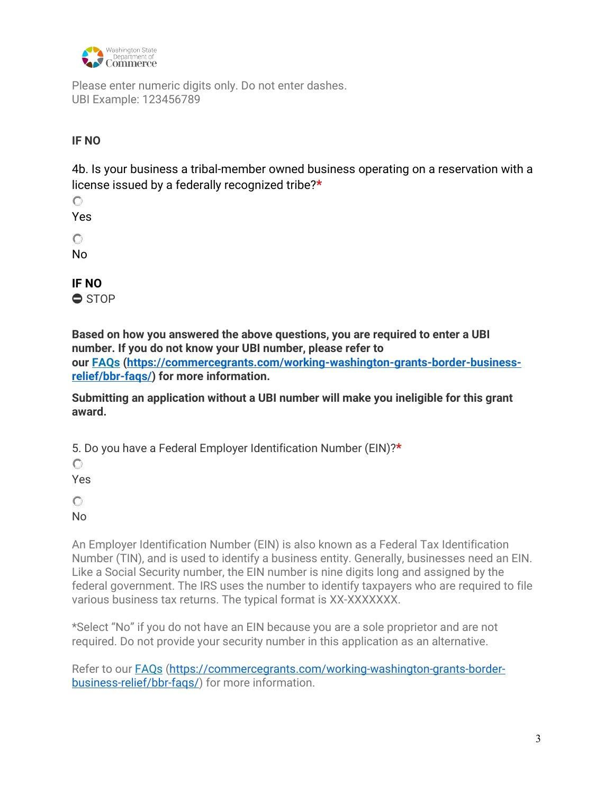

Please enter numeric digits only. Do not enter dashes. UBI Example: 123456789

## **IF NO**

4b. Is your business a tribal-member owned business operating on a reservation with a license issued by a federally recognized tribe?**\***

 $\circ$ 

Yes

 $\circ$ 

No

**IF NO** 

⛔ STOP

**Based on how you answered the above questions, you are required to enter a UBI number. If you do not know your UBI number, please refer to our [FAQs \(https://commercegrants.com/working-washington-grants-border-business](https://commercegrants.com/working-washington-grants-border-business-relief/bbr-faqs/)[relief/bbr-faqs/\)](https://commercegrants.com/working-washington-grants-border-business-relief/bbr-faqs/) for more information.**

**Submitting an application without a UBI number will make you ineligible for this grant award.** 

5. Do you have a Federal Employer Identification Number (EIN)?**\***

 $\circ$ Yes

 $\bigcirc$ 

No

An Employer Identification Number (EIN) is also known as a Federal Tax Identification Number (TIN), and is used to identify a business entity. Generally, businesses need an EIN. Like a Social Security number, the EIN number is nine digits long and assigned by the federal government. The IRS uses the number to identify taxpayers who are required to file various business tax returns. The typical format is XX-XXXXXXX.

\*Select "No" if you do not have an EIN because you are a sole proprietor and are not required. Do not provide your security number in this application as an alternative.

Refer to our [FAQs \(https://commercegrants.com/working-washington-grants-border](https://commercegrants.com/working-washington-grants-border-business-relief/bbr-faqs/)[business-relief/bbr-faqs/\)](https://commercegrants.com/working-washington-grants-border-business-relief/bbr-faqs/) for more information.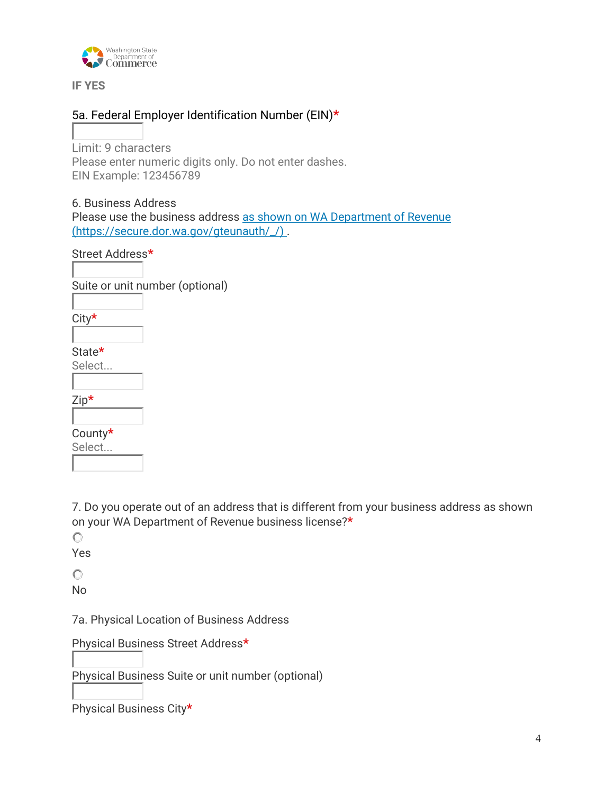

**IF YES**

## 5a. Federal Employer Identification Number (EIN)**\***

Limit: 9 characters Please enter numeric digits only. Do not enter dashes. EIN Example: 123456789

## 6. Business Address

Please use the business address [as shown on WA Department of Revenue](https://secure.dor.wa.gov/gteunauth/_/) (https://secure.dor.wa.gov/gteunauth/\_/) .

Street Address**\***

Suite or unit number (optional)

City**\***

State**\***

Select...

County**\***

Select...

7. Do you operate out of an address that is different from your business address as shown on your WA Department of Revenue business license?**\***

 $\bigcirc$ 

Yes

 $\bigcirc$ 

No

7a. Physical Location of Business Address

Physical Business Street Address**\***

Physical Business Suite or unit number (optional)

Physical Business City**\***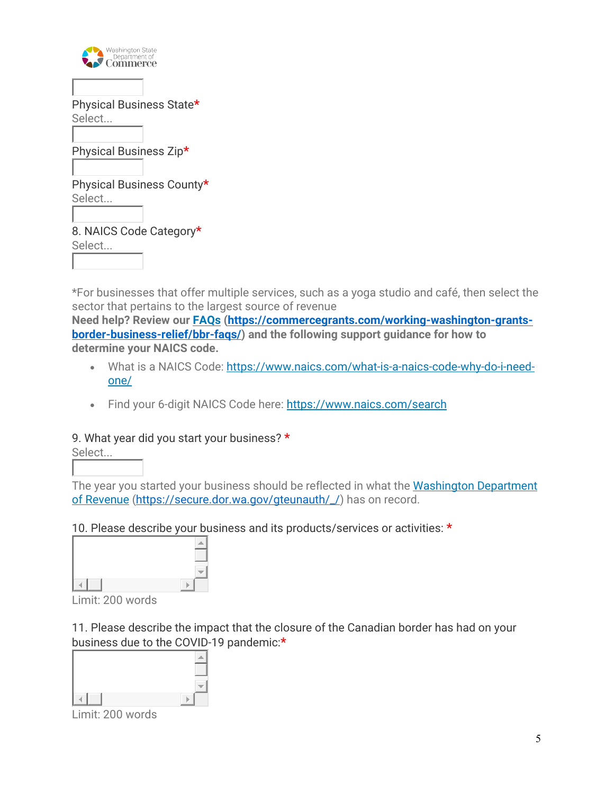| <b>Washington State</b><br>Department of |
|------------------------------------------|
|                                          |
| Physical Business State*                 |
| Select                                   |
| Physical Business Zip*                   |
| Physical Business County*                |
| Select                                   |
| 8. NAICS Code Category*                  |
| Select                                   |

\*For businesses that offer multiple services, such as a yoga studio and café, then select the sector that pertains to the largest source of revenue

**Need help? Review our [FAQs \(https://commercegrants.com/working-washington-grants](https://commercegrants.com/working-washington-grants-border-business-relief/bbr-faqs/)[border-business-relief/bbr-faqs/\)](https://commercegrants.com/working-washington-grants-border-business-relief/bbr-faqs/) and the following support guidance for how to determine your NAICS code.**

- What is a NAICS Code: [https://www.naics.com/what-is-a-naics-code-why-do-i-need](https://www.naics.com/what-is-a-naics-code-why-do-i-need-one/)[one/](https://www.naics.com/what-is-a-naics-code-why-do-i-need-one/)
- Find your 6-digit NAICS Code here:<https://www.naics.com/search>

#### 9. What year did you start your business? **\***

Select...

The year you started your business should be reflected in what the [Washington Department](https://secure.dor.wa.gov/gteunauth/_/)  of Revenue (https://secure.dor.wa.gov/gteunauth//) has on record.

## 10. Please describe your business and its products/services or activities: **\***



Limit: 200 words

11. Please describe the impact that the closure of the Canadian border has had on your business due to the COVID-19 pandemic:**\***



Limit: 200 words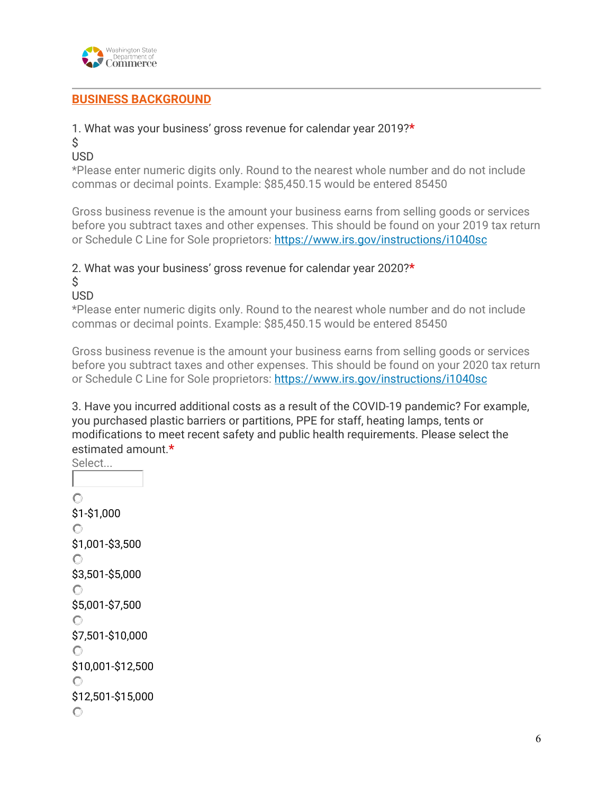

## **BUSINESS BACKGROUND**

## 1. What was your business' gross revenue for calendar year 2019?**\***

 $\mathsf{\dot{S}}$ 

## USD

\*Please enter numeric digits only. Round to the nearest whole number and do not include commas or decimal points. Example: \$85,450.15 would be entered 85450

Gross business revenue is the amount your business earns from selling goods or services before you subtract taxes and other expenses. This should be found on your 2019 tax return or Schedule C Line for Sole proprietors:<https://www.irs.gov/instructions/i1040sc>

## 2. What was your business' gross revenue for calendar year 2020?**\***

 $\mathsf{\dot{S}}$ 

USD

\*Please enter numeric digits only. Round to the nearest whole number and do not include commas or decimal points. Example: \$85,450.15 would be entered 85450

Gross business revenue is the amount your business earns from selling goods or services before you subtract taxes and other expenses. This should be found on your 2020 tax return or Schedule C Line for Sole proprietors:<https://www.irs.gov/instructions/i1040sc>

3. Have you incurred additional costs as a result of the COVID-19 pandemic? For example, you purchased plastic barriers or partitions, PPE for staff, heating lamps, tents or modifications to meet recent safety and public health requirements. Please select the estimated amount.**\***

```
Select... 
\circ$1-$1,000 
\circ$1,001-$3,500 
\circ$3,501-$5,000 
\circ$5,001-$7,500 
\circ$7,501-$10,000 
\bigcirc$10,001-$12,500 
\circ$12,501-$15,000 \bigcirc
```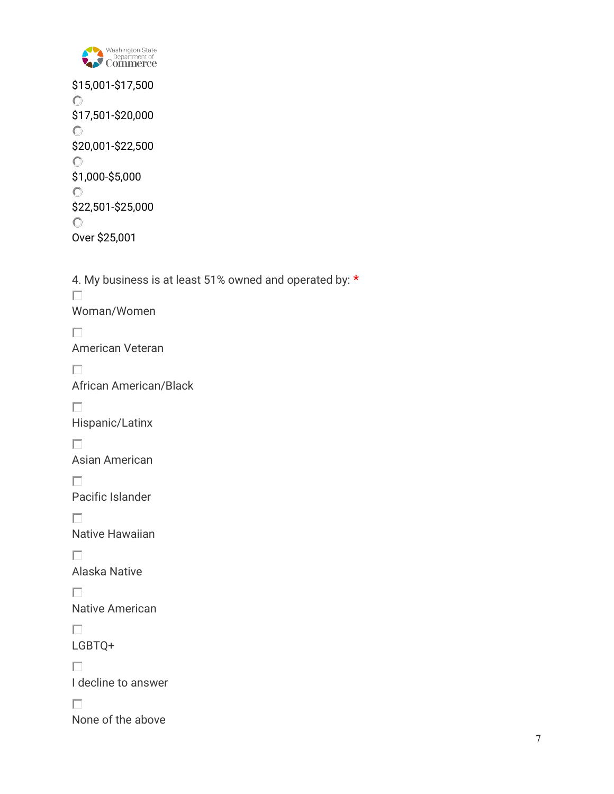

\$15,001-\$17,500  $\mathbf C$ \$17,501-\$20,000  $\circ$ \$20,001-\$22,500  $\circ$ \$1,000-\$5,000  $\circ$ \$22,501-\$25,000  $\mathbf{C}^-$ Over \$25,001

4. My business is at least 51% owned and operated by: **\***  $\Box$ Woman/Women  $\Box$ American Veteran  $\Box$ African American/Black  $\Box$ Hispanic/Latinx  $\Box$ Asian American  $\Box$ Pacific Islander  $\Box$ Native Hawaiian  $\Box$ Alaska Native  $\Box$ Native American  $\Box$ LGBTQ+  $\Box$ I decline to answer  $\Box$ None of the above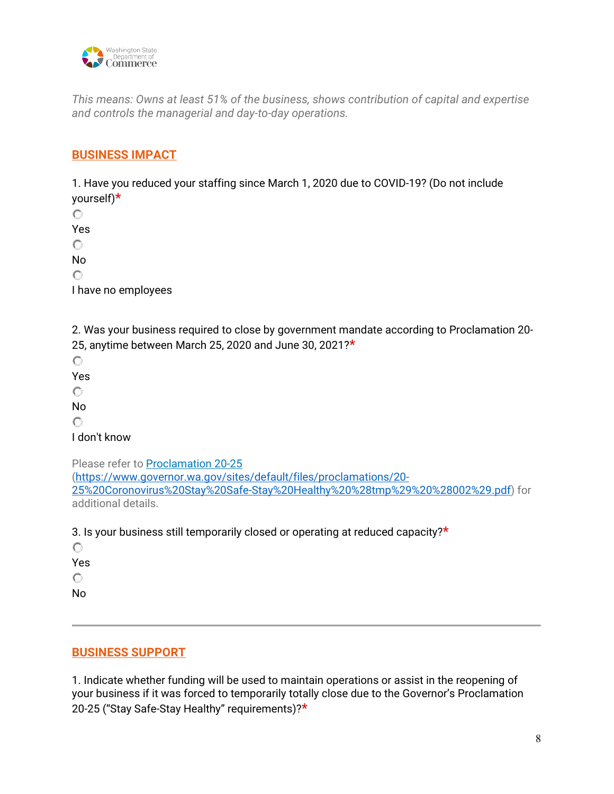

*This means: Owns at least 51% of the business, shows contribution of capital and expertise and controls the managerial and day-to-day operations.*

## **BUSINESS IMPACT**

1. Have you reduced your staffing since March 1, 2020 due to COVID-19? (Do not include yourself)**\***

 $\circ$ Yes  $\circ$ No  $\circ$ 

I have no employees

2. Was your business required to close by government mandate according to Proclamation 20- 25, anytime between March 25, 2020 and June 30, 2021?**\***

 $\circ$ 

Yes

 $\circ$ 

No

 $\bigcirc$ 

I don't know

Please refer t[o Proclamation 20-25](https://www.governor.wa.gov/sites/default/files/proclamations/20-25%20Coronovirus%20Stay%20Safe-Stay%20Healthy%20%28tmp%29%20%28002%29.pdf) [\(https://www.governor.wa.gov/sites/default/files/proclamations/20-](https://www.governor.wa.gov/sites/default/files/proclamations/20-25%20Coronovirus%20Stay%20Safe-Stay%20Healthy%20%28tmp%29%20%28002%29.pdf) [25%20Coronovirus%20Stay%20Safe-Stay%20Healthy%20%28tmp%29%20%28002%29.pdf\)](https://www.governor.wa.gov/sites/default/files/proclamations/20-25%20Coronovirus%20Stay%20Safe-Stay%20Healthy%20%28tmp%29%20%28002%29.pdf) for additional details.

3. Is your business still temporarily closed or operating at reduced capacity?**\***

 $\circ$ Yes  $\circ$ 

No

# **BUSINESS SUPPORT**

1. Indicate whether funding will be used to maintain operations or assist in the reopening of your business if it was forced to temporarily totally close due to the Governor's Proclamation 20-25 ("Stay Safe-Stay Healthy" requirements)?**\***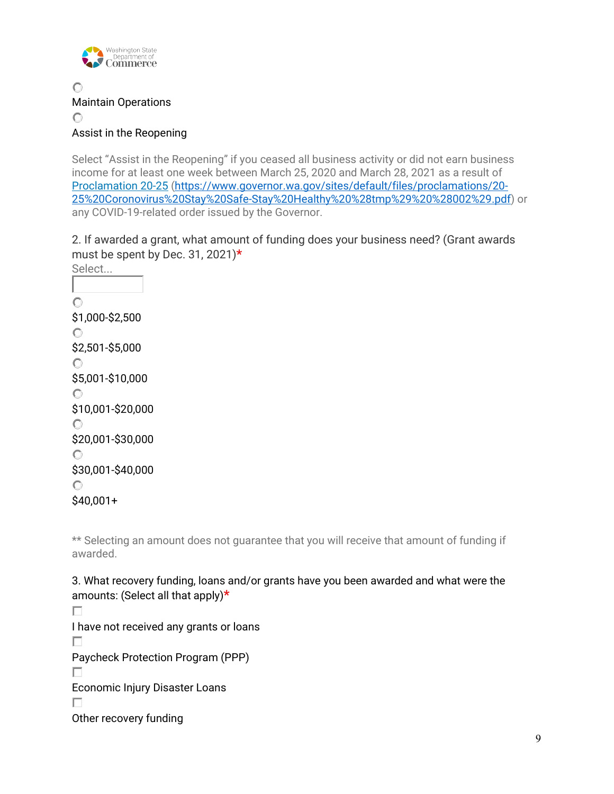

Maintain Operations  $\circ$ Assist in the Reopening

Select "Assist in the Reopening" if you ceased all business activity or did not earn business income for at least one week between March 25, 2020 and March 28, 2021 as a result of [Proclamation 20-25 \(https://www.governor.wa.gov/sites/default/files/proclamations/20-](https://www.governor.wa.gov/sites/default/files/proclamations/20-25%20Coronovirus%20Stay%20Safe-Stay%20Healthy%20%28tmp%29%20%28002%29.pdf) [25%20Coronovirus%20Stay%20Safe-Stay%20Healthy%20%28tmp%29%20%28002%29.pdf\)](https://www.governor.wa.gov/sites/default/files/proclamations/20-25%20Coronovirus%20Stay%20Safe-Stay%20Healthy%20%28tmp%29%20%28002%29.pdf) or any COVID-19-related order issued by the Governor.

2. If awarded a grant, what amount of funding does your business need? (Grant awards must be spent by Dec. 31, 2021)**\***

Select...  $\circ$ \$1,000-\$2,500  $\circ$ \$2,501-\$5,000  $\circ$ \$5,001-\$10,000  $\circ$ \$10,001-\$20,000  $\circ$ \$20,001-\$30,000  $\circ$ \$30,001-\$40,000  $\circ$ \$40,001+

\*\* Selecting an amount does not guarantee that you will receive that amount of funding if awarded.

3. What recovery funding, loans and/or grants have you been awarded and what were the amounts: (Select all that apply)**\*** П I have not received any grants or loans П Paycheck Protection Program (PPP) П Economic Injury Disaster Loans П Other recovery funding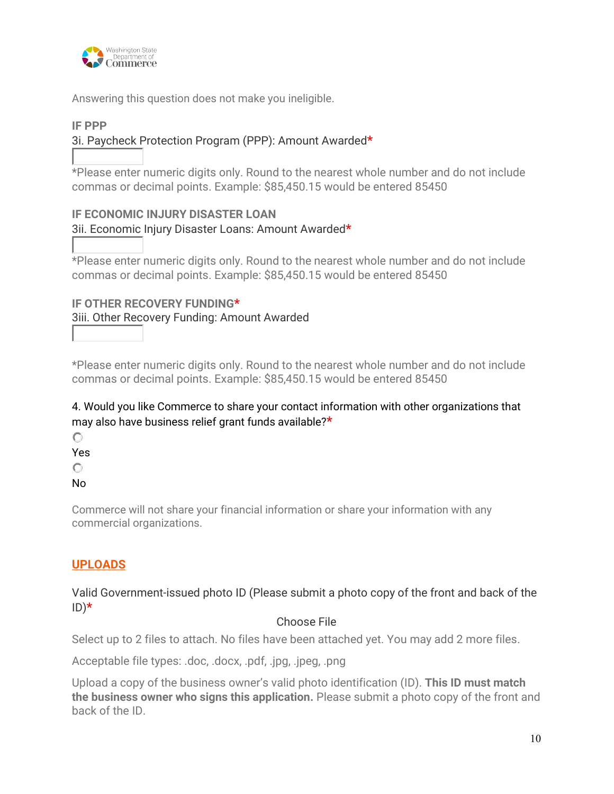

Answering this question does not make you ineligible.

#### **IF PPP**

## 3i. Paycheck Protection Program (PPP): Amount Awarded**\***

\*Please enter numeric digits only. Round to the nearest whole number and do not include commas or decimal points. Example: \$85,450.15 would be entered 85450

# **IF ECONOMIC INJURY DISASTER LOAN**  3ii. Economic Injury Disaster Loans: Amount Awarded**\***

\*Please enter numeric digits only. Round to the nearest whole number and do not include commas or decimal points. Example: \$85,450.15 would be entered 85450

# **IF OTHER RECOVERY FUNDING\*** 3iii. Other Recovery Funding: Amount Awarded

\*Please enter numeric digits only. Round to the nearest whole number and do not include commas or decimal points. Example: \$85,450.15 would be entered 85450

## 4. Would you like Commerce to share your contact information with other organizations that may also have business relief grant funds available?**\***

 $\circ$ 

Yes

 $\circ$ 

No

Commerce will not share your financial information or share your information with any commercial organizations.

## **UPLOADS**

#### Valid Government-issued photo ID (Please submit a photo copy of the front and back of the ID)**\***

#### Choose File

Select up to 2 files to attach. No files have been attached yet. You may add 2 more files.

Acceptable file types: .doc, .docx, .pdf, .jpg, .jpeg, .png

Upload a copy of the business owner's valid photo identification (ID). **This ID must match the business owner who signs this application.** Please submit a photo copy of the front and back of the ID.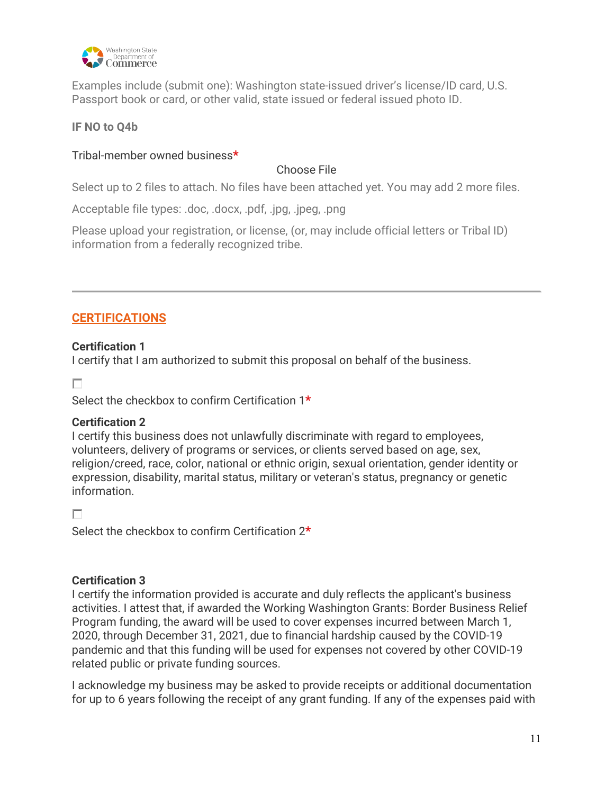

Examples include (submit one): Washington state-issued driver's license/ID card, U.S. Passport book or card, or other valid, state issued or federal issued photo ID.

## **IF NO to Q4b**

#### Tribal-member owned business**\***

#### Choose File

Select up to 2 files to attach. No files have been attached yet. You may add 2 more files.

Acceptable file types: .doc, .docx, .pdf, .jpg, .jpeg, .png

Please upload your registration, or license, (or, may include official letters or Tribal ID) information from a federally recognized tribe.

## **CERTIFICATIONS**

#### **Certification 1**

I certify that I am authorized to submit this proposal on behalf of the business.

 $\Box$ 

Select the checkbox to confirm Certification 1**\***

#### **Certification 2**

I certify this business does not unlawfully discriminate with regard to employees, volunteers, delivery of programs or services, or clients served based on age, sex, religion/creed, race, color, national or ethnic origin, sexual orientation, gender identity or expression, disability, marital status, military or veteran's status, pregnancy or genetic information.

П

Select the checkbox to confirm Certification 2**\***

#### **Certification 3**

I certify the information provided is accurate and duly reflects the applicant's business activities. I attest that, if awarded the Working Washington Grants: Border Business Relief Program funding, the award will be used to cover expenses incurred between March 1, 2020, through December 31, 2021, due to financial hardship caused by the COVID-19 pandemic and that this funding will be used for expenses not covered by other COVID-19 related public or private funding sources.

I acknowledge my business may be asked to provide receipts or additional documentation for up to 6 years following the receipt of any grant funding. If any of the expenses paid with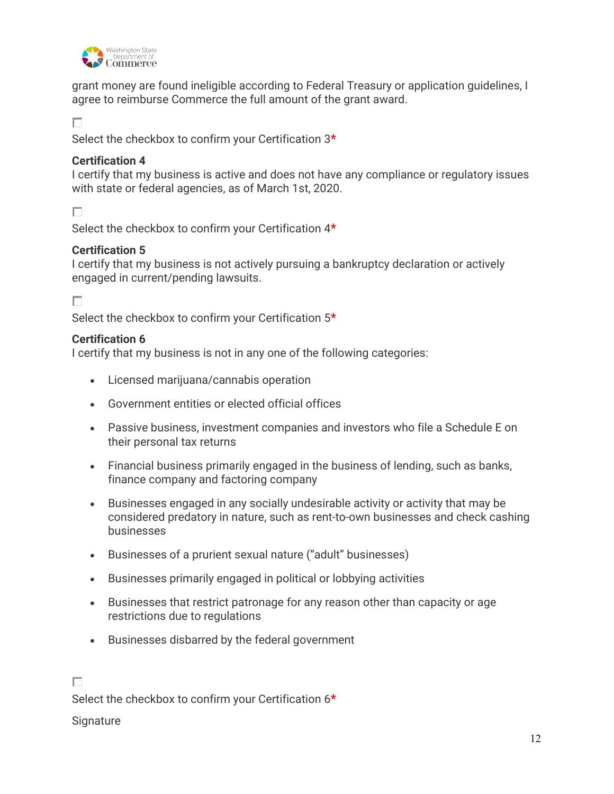

grant money are found ineligible according to Federal Treasury or application guidelines, I agree to reimburse Commerce the full amount of the grant award.

П

Select the checkbox to confirm your Certification 3**\***

#### **Certification 4**

I certify that my business is active and does not have any compliance or regulatory issues with state or federal agencies, as of March 1st, 2020.

П

Select the checkbox to confirm your Certification 4**\***

## **Certification 5**

I certify that my business is not actively pursuing a bankruptcy declaration or actively engaged in current/pending lawsuits.

П

Select the checkbox to confirm your Certification 5**\***

## **Certification 6**

I certify that my business is not in any one of the following categories:

- Licensed marijuana/cannabis operation
- Government entities or elected official offices
- Passive business, investment companies and investors who file a Schedule E on their personal tax returns
- Financial business primarily engaged in the business of lending, such as banks, finance company and factoring company
- Businesses engaged in any socially undesirable activity or activity that may be considered predatory in nature, such as rent-to-own businesses and check cashing businesses
- Businesses of a prurient sexual nature ("adult" businesses)
- Businesses primarily engaged in political or lobbying activities
- Businesses that restrict patronage for any reason other than capacity or age restrictions due to regulations
- Businesses disbarred by the federal government

## П

Select the checkbox to confirm your Certification 6**\***

**Signature**